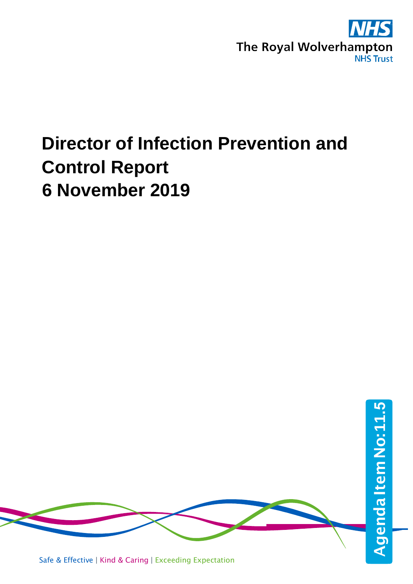

# **Director of Infection Prevention and Control Report 6 November 2019**

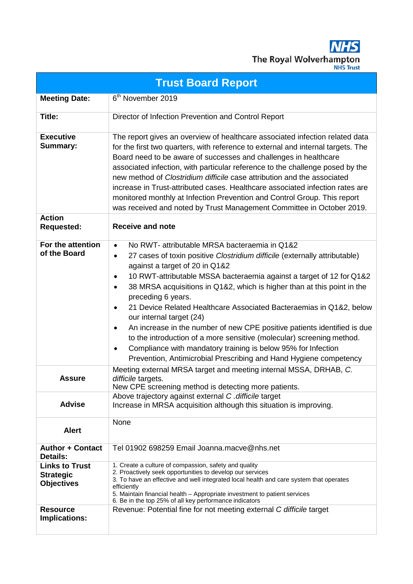**NHS** The Royal Wolverhampton

| <b>Trust Board Report</b>                                      |                                                                                                                                                                                                                                                                                                                                                                                                                                                                                                                                                                                                                                                                                                                                                                                                            |  |  |  |  |  |  |  |  |
|----------------------------------------------------------------|------------------------------------------------------------------------------------------------------------------------------------------------------------------------------------------------------------------------------------------------------------------------------------------------------------------------------------------------------------------------------------------------------------------------------------------------------------------------------------------------------------------------------------------------------------------------------------------------------------------------------------------------------------------------------------------------------------------------------------------------------------------------------------------------------------|--|--|--|--|--|--|--|--|
| <b>Meeting Date:</b>                                           | 6 <sup>th</sup> November 2019                                                                                                                                                                                                                                                                                                                                                                                                                                                                                                                                                                                                                                                                                                                                                                              |  |  |  |  |  |  |  |  |
| <b>Title:</b>                                                  | Director of Infection Prevention and Control Report                                                                                                                                                                                                                                                                                                                                                                                                                                                                                                                                                                                                                                                                                                                                                        |  |  |  |  |  |  |  |  |
| <b>Executive</b><br>Summary:                                   | The report gives an overview of healthcare associated infection related data<br>for the first two quarters, with reference to external and internal targets. The<br>Board need to be aware of successes and challenges in healthcare<br>associated infection, with particular reference to the challenge posed by the<br>new method of Clostridium difficile case attribution and the associated<br>increase in Trust-attributed cases. Healthcare associated infection rates are<br>monitored monthly at Infection Prevention and Control Group. This report<br>was received and noted by Trust Management Committee in October 2019.                                                                                                                                                                     |  |  |  |  |  |  |  |  |
| <b>Action</b><br><b>Requested:</b>                             | <b>Receive and note</b>                                                                                                                                                                                                                                                                                                                                                                                                                                                                                                                                                                                                                                                                                                                                                                                    |  |  |  |  |  |  |  |  |
| For the attention<br>of the Board                              | No RWT- attributable MRSA bacteraemia in Q1&2<br>$\bullet$<br>27 cases of toxin positive Clostridium difficile (externally attributable)<br>$\bullet$<br>against a target of 20 in Q1&2<br>10 RWT-attributable MSSA bacteraemia against a target of 12 for Q1&2<br>$\bullet$<br>38 MRSA acquisitions in Q1&2, which is higher than at this point in the<br>$\bullet$<br>preceding 6 years.<br>21 Device Related Healthcare Associated Bacteraemias in Q1&2, below<br>$\bullet$<br>our internal target (24)<br>An increase in the number of new CPE positive patients identified is due<br>to the introduction of a more sensitive (molecular) screening method.<br>Compliance with mandatory training is below 95% for Infection<br>٠<br>Prevention, Antimicrobial Prescribing and Hand Hygiene competency |  |  |  |  |  |  |  |  |
| <b>Assure</b>                                                  | Meeting external MRSA target and meeting internal MSSA, DRHAB, C.<br>difficile targets.<br>New CPE screening method is detecting more patients.                                                                                                                                                                                                                                                                                                                                                                                                                                                                                                                                                                                                                                                            |  |  |  |  |  |  |  |  |
| <b>Advise</b>                                                  | Above trajectory against external C. difficile target<br>Increase in MRSA acquisition although this situation is improving.                                                                                                                                                                                                                                                                                                                                                                                                                                                                                                                                                                                                                                                                                |  |  |  |  |  |  |  |  |
| <b>Alert</b>                                                   | None                                                                                                                                                                                                                                                                                                                                                                                                                                                                                                                                                                                                                                                                                                                                                                                                       |  |  |  |  |  |  |  |  |
| <b>Author + Contact</b><br><b>Details:</b>                     | Tel 01902 698259 Email Joanna.macve@nhs.net                                                                                                                                                                                                                                                                                                                                                                                                                                                                                                                                                                                                                                                                                                                                                                |  |  |  |  |  |  |  |  |
| <b>Links to Trust</b><br><b>Strategic</b><br><b>Objectives</b> | 1. Create a culture of compassion, safety and quality<br>2. Proactively seek opportunities to develop our services<br>3. To have an effective and well integrated local health and care system that operates<br>efficiently<br>5. Maintain financial health - Appropriate investment to patient services<br>6. Be in the top 25% of all key performance indicators                                                                                                                                                                                                                                                                                                                                                                                                                                         |  |  |  |  |  |  |  |  |
| <b>Resource</b><br>Implications:                               | Revenue: Potential fine for not meeting external C difficile target                                                                                                                                                                                                                                                                                                                                                                                                                                                                                                                                                                                                                                                                                                                                        |  |  |  |  |  |  |  |  |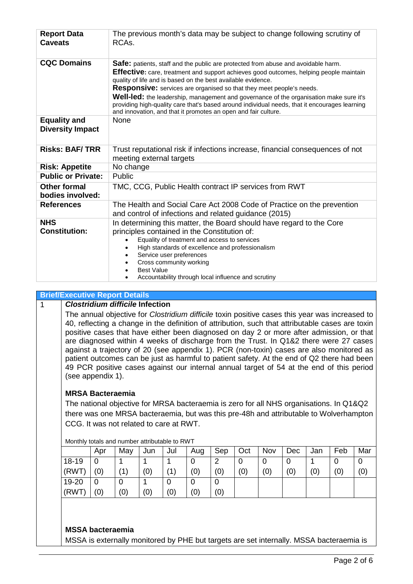| <b>Report Data</b><br><b>Caveats</b>    | The previous month's data may be subject to change following scrutiny of<br>RCA <sub>s</sub> .                                                                                                                                                                   |  |  |  |  |  |  |  |  |
|-----------------------------------------|------------------------------------------------------------------------------------------------------------------------------------------------------------------------------------------------------------------------------------------------------------------|--|--|--|--|--|--|--|--|
| <b>CQC Domains</b>                      | <b>Safe:</b> patients, staff and the public are protected from abuse and avoidable harm.<br>Effective: care, treatment and support achieves good outcomes, helping people maintain<br>quality of life and is based on the best available evidence.               |  |  |  |  |  |  |  |  |
|                                         | <b>Responsive:</b> services are organised so that they meet people's needs.                                                                                                                                                                                      |  |  |  |  |  |  |  |  |
|                                         | <b>Well-led:</b> the leadership, management and governance of the organisation make sure it's<br>providing high-quality care that's based around individual needs, that it encourages learning<br>and innovation, and that it promotes an open and fair culture. |  |  |  |  |  |  |  |  |
| <b>Equality and</b>                     | <b>None</b>                                                                                                                                                                                                                                                      |  |  |  |  |  |  |  |  |
| <b>Diversity Impact</b>                 |                                                                                                                                                                                                                                                                  |  |  |  |  |  |  |  |  |
| <b>Risks: BAF/TRR</b>                   | Trust reputational risk if infections increase, financial consequences of not<br>meeting external targets                                                                                                                                                        |  |  |  |  |  |  |  |  |
| <b>Risk: Appetite</b>                   | No change                                                                                                                                                                                                                                                        |  |  |  |  |  |  |  |  |
| <b>Public or Private:</b>               | Public                                                                                                                                                                                                                                                           |  |  |  |  |  |  |  |  |
| <b>Other formal</b><br>bodies involved: | TMC, CCG, Public Health contract IP services from RWT                                                                                                                                                                                                            |  |  |  |  |  |  |  |  |
| <b>References</b>                       | The Health and Social Care Act 2008 Code of Practice on the prevention<br>and control of infections and related guidance (2015)                                                                                                                                  |  |  |  |  |  |  |  |  |
| <b>NHS</b>                              | In determining this matter, the Board should have regard to the Core                                                                                                                                                                                             |  |  |  |  |  |  |  |  |
| <b>Constitution:</b>                    | principles contained in the Constitution of:                                                                                                                                                                                                                     |  |  |  |  |  |  |  |  |
|                                         | Equality of treatment and access to services                                                                                                                                                                                                                     |  |  |  |  |  |  |  |  |
|                                         | High standards of excellence and professionalism                                                                                                                                                                                                                 |  |  |  |  |  |  |  |  |
|                                         | Service user preferences<br>Cross community working                                                                                                                                                                                                              |  |  |  |  |  |  |  |  |
|                                         | <b>Best Value</b>                                                                                                                                                                                                                                                |  |  |  |  |  |  |  |  |
|                                         | Accountability through local influence and scrutiny                                                                                                                                                                                                              |  |  |  |  |  |  |  |  |

### **Brief/Executive Report Details**

### 1 *Clostridium difficile* **Infection**

The annual objective for *Clostridium difficile* toxin positive cases this year was increased to 40, reflecting a change in the definition of attribution, such that attributable cases are toxin positive cases that have either been diagnosed on day 2 or more after admission, or that are diagnosed within 4 weeks of discharge from the Trust. In Q1&2 there were 27 cases against a trajectory of 20 (see appendix 1). PCR (non-toxin) cases are also monitored as patient outcomes can be just as harmful to patient safety. At the end of Q2 there had been 49 PCR positive cases against our internal annual target of 54 at the end of this period (see appendix 1).

# **MRSA Bacteraemia**

The national objective for MRSA bacteraemia is zero for all NHS organisations. In Q1&Q2 there was one MRSA bacteraemia, but was this pre-48h and attributable to Wolverhampton CCG. It was not related to care at RWT.

|       | Apr | May            | Jun | Jul         | Aug | Sep | Oct | Nov | Dec | Jan | Feb | Mar |
|-------|-----|----------------|-----|-------------|-----|-----|-----|-----|-----|-----|-----|-----|
| 18-19 | 0   |                |     |             |     | ⌒   | U   | 0   |     |     |     |     |
| (RWT) | (0) | $^{\prime}$ 1) | (0) | $\mathbf 1$ | (0) | (0) | (0) | (0) | (0) | (0) | (0) | (0) |
| 19-20 | 0   | 0              |     | U           |     |     |     |     |     |     |     |     |
| (RWT) | (0) | (0)            | (0) | (0)         | (0) | (0) |     |     |     |     |     |     |

Monthly totals and number attributable to RWT

### **MSSA bacteraemia**

MSSA is externally monitored by PHE but targets are set internally. MSSA bacteraemia is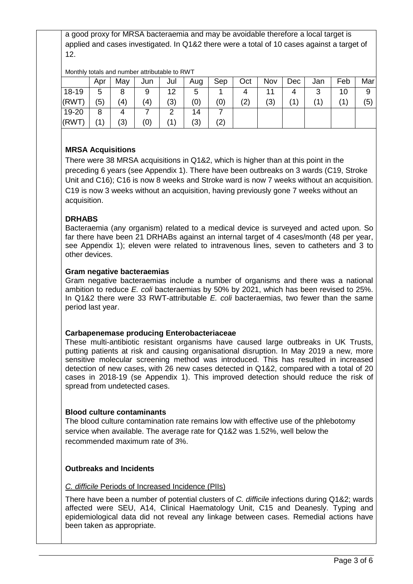a good proxy for MRSA bacteraemia and may be avoidable therefore a local target is applied and cases investigated. In Q1&2 there were a total of 10 cases against a target of 12.

Monthly totals and number attributable to RWT

|       | Apr            | May       | Jun               | Jul | Aug | Sep | Oct | Nov | Dec | Jan | Feb | Mar |
|-------|----------------|-----------|-------------------|-----|-----|-----|-----|-----|-----|-----|-----|-----|
| 18-19 | 5              | 8         | 9                 | 12  | 5   |     |     | 11  | 4   | າ   | 10  | 9   |
| (RWT) | (5)            | $\bf (4)$ | $\left( 4\right)$ | (3) | (0) | (0) | (2) | (3) |     |     |     | (5) |
| 19-20 | 8              | 4         |                   | ⌒   | 14  |     |     |     |     |     |     |     |
| (RWT) | $^{\prime}$ 1) | (3)       | (0)               |     | (3) | (2) |     |     |     |     |     |     |

# **MRSA Acquisitions**

There were 38 MRSA acquisitions in Q1&2, which is higher than at this point in the preceding 6 years (see Appendix 1). There have been outbreaks on 3 wards (C19, Stroke Unit and C16); C16 is now 8 weeks and Stroke ward is now 7 weeks without an acquisition. C19 is now 3 weeks without an acquisition, having previously gone 7 weeks without an acquisition.

# **DRHABS**

Bacteraemia (any organism) related to a medical device is surveyed and acted upon. So far there have been 21 DRHABs against an internal target of 4 cases/month (48 per year, see Appendix 1); eleven were related to intravenous lines, seven to catheters and 3 to other devices.

# **Gram negative bacteraemias**

Gram negative bacteraemias include a number of organisms and there was a national ambition to reduce *E. coli* bacteraemias by 50% by 2021, which has been revised to 25%. In Q1&2 there were 33 RWT-attributable *E. coli* bacteraemias, two fewer than the same period last year.

# **Carbapenemase producing Enterobacteriaceae**

These multi-antibiotic resistant organisms have caused large outbreaks in UK Trusts, putting patients at risk and causing organisational disruption. In May 2019 a new, more sensitive molecular screening method was introduced. This has resulted in increased detection of new cases, with 26 new cases detected in Q1&2, compared with a total of 20 cases in 2018-19 (se Appendix 1). This improved detection should reduce the risk of spread from undetected cases.

# **Blood culture contaminants**

The blood culture contamination rate remains low with effective use of the phlebotomy service when available. The average rate for Q1&2 was 1.52%, well below the recommended maximum rate of 3%.

# **Outbreaks and Incidents**

# *C. difficile* Periods of Increased Incidence (PIIs)

There have been a number of potential clusters of *C. difficile* infections during Q1&2; wards affected were SEU, A14, Clinical Haematology Unit, C15 and Deanesly. Typing and epidemiological data did not reveal any linkage between cases. Remedial actions have been taken as appropriate.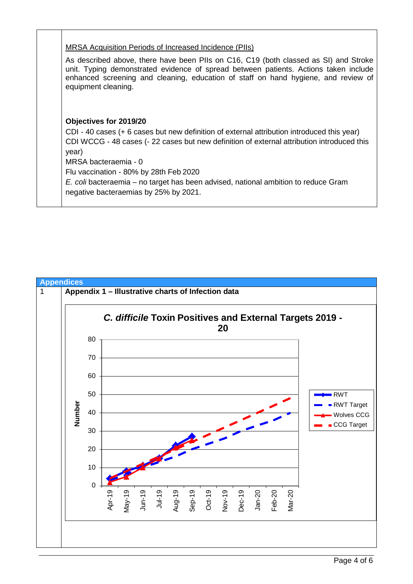**Objectives for 2019/20** CDI - 40 cases (+ 6 cases but new definition of external attribution introduced this year) CDI WCCG - 48 cases (- 22 cases but new definition of external attribution introduced this year) MRSA bacteraemia - 0 Flu vaccination - 80% by 28th Feb 2020 *E. coli* bacteraemia – no target has been advised, national ambition to reduce Gram negative bacteraemias by 25% by 2021. MRSA Acquisition Periods of Increased Incidence (PIIs) As described above, there have been PIIs on C16, C19 (both classed as SI) and Stroke unit. Typing demonstrated evidence of spread between patients. Actions taken include enhanced screening and cleaning, education of staff on hand hygiene, and review of equipment cleaning.

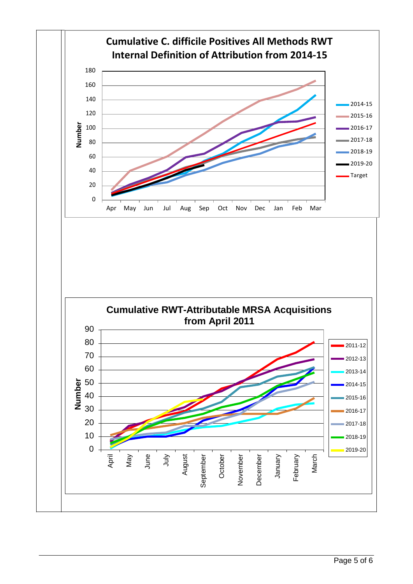